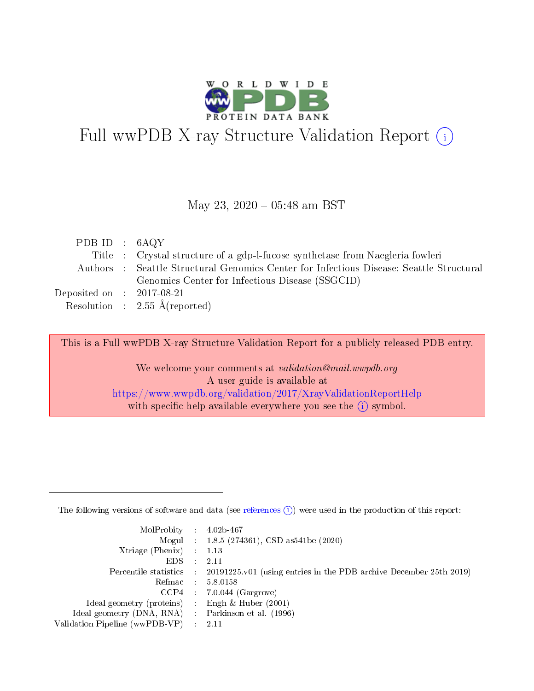

# Full wwPDB X-ray Structure Validation Report (i)

#### May 23, 2020 - 05:48 am BST

| PDB ID : $6AQY$             |                                                                                         |
|-----------------------------|-----------------------------------------------------------------------------------------|
|                             | Title : Crystal structure of a gdp-l-fucose synthetase from Naegleria fowleri           |
|                             | Authors : Seattle Structural Genomics Center for Infectious Disease; Seattle Structural |
|                             | Genomics Center for Infectious Disease (SSGCID)                                         |
| Deposited on : $2017-08-21$ |                                                                                         |
|                             | Resolution : $2.55 \text{ Å}$ (reported)                                                |

This is a Full wwPDB X-ray Structure Validation Report for a publicly released PDB entry.

We welcome your comments at validation@mail.wwpdb.org A user guide is available at <https://www.wwpdb.org/validation/2017/XrayValidationReportHelp> with specific help available everywhere you see the  $(i)$  symbol.

The following versions of software and data (see [references](https://www.wwpdb.org/validation/2017/XrayValidationReportHelp#references)  $(1)$ ) were used in the production of this report:

| $MolProbability$ 4.02b-467                          |               |                                                                                            |
|-----------------------------------------------------|---------------|--------------------------------------------------------------------------------------------|
|                                                     |               | Mogul : $1.8.5$ (274361), CSD as 541be (2020)                                              |
| Xtriage (Phenix) $: 1.13$                           |               |                                                                                            |
| EDS.                                                | $\mathcal{L}$ | -2.11                                                                                      |
|                                                     |               | Percentile statistics : 20191225.v01 (using entries in the PDB archive December 25th 2019) |
|                                                     |               | Refmac $5.8.0158$                                                                          |
| CCP4                                                |               | $7.0.044$ (Gargrove)                                                                       |
| Ideal geometry (proteins)                           | $\sim$        | Engh $\&$ Huber (2001)                                                                     |
| Ideal geometry (DNA, RNA) : Parkinson et al. (1996) |               |                                                                                            |
| Validation Pipeline (wwPDB-VP) : 2.11               |               |                                                                                            |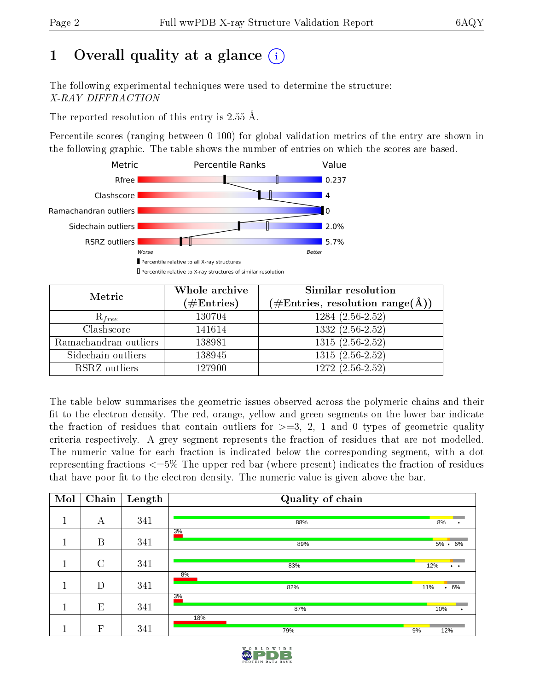# 1 [O](https://www.wwpdb.org/validation/2017/XrayValidationReportHelp#overall_quality)verall quality at a glance  $(i)$

The following experimental techniques were used to determine the structure: X-RAY DIFFRACTION

The reported resolution of this entry is 2.55 Å.

Percentile scores (ranging between 0-100) for global validation metrics of the entry are shown in the following graphic. The table shows the number of entries on which the scores are based.



| Metric                | Whole archive<br>$(\#\text{Entries})$ | Similar resolution<br>$(\#\text{Entries}, \text{resolution range}(\textup{\AA}))$ |
|-----------------------|---------------------------------------|-----------------------------------------------------------------------------------|
| $R_{free}$            | 130704                                | $1284(2.56-2.52)$                                                                 |
| Clashscore            | 141614                                | $1332(2.56-2.52)$                                                                 |
| Ramachandran outliers | 138981                                | $1315(2.56-2.52)$                                                                 |
| Sidechain outliers    | 138945                                | $1315(2.56-2.52)$                                                                 |
| RSRZ outliers         | 127900                                | $1272(2.56-2.52)$                                                                 |

The table below summarises the geometric issues observed across the polymeric chains and their fit to the electron density. The red, orange, yellow and green segments on the lower bar indicate the fraction of residues that contain outliers for  $>=3, 2, 1$  and 0 types of geometric quality criteria respectively. A grey segment represents the fraction of residues that are not modelled. The numeric value for each fraction is indicated below the corresponding segment, with a dot representing fractions  $\epsilon=5\%$  The upper red bar (where present) indicates the fraction of residues that have poor fit to the electron density. The numeric value is given above the bar.

| Mol    | Chain         | Length | Quality of chain |                             |
|--------|---------------|--------|------------------|-----------------------------|
| 1      | А             | 341    | 88%              | 8%                          |
| п<br>п | B             | 341    | 3%<br>89%        | $5\% \cdot 6\%$             |
| 1      | $\mathcal{C}$ | 341    | 83%              | 12%<br>$\ddot{\phantom{0}}$ |
| п      | D             | 341    | 8%<br>82%        | $.6\%$<br>11%               |
|        | E             | 341    | 3%<br>87%        | 10%<br>$\bullet$            |
|        | $\mathbf{F}$  | 341    | 18%<br>79%       | 9%<br>12%                   |

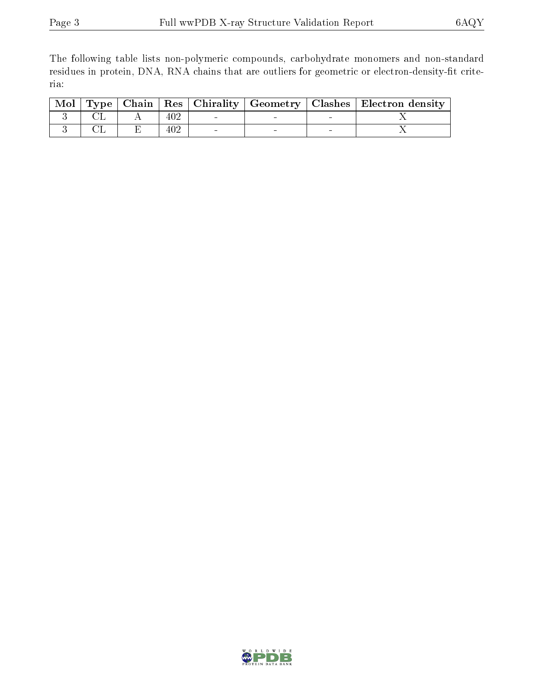The following table lists non-polymeric compounds, carbohydrate monomers and non-standard residues in protein, DNA, RNA chains that are outliers for geometric or electron-density-fit criteria:

|  |     |        |        | Mol   Type   Chain   Res   Chirality   Geometry   Clashes   Electron density |
|--|-----|--------|--------|------------------------------------------------------------------------------|
|  | 402 | $\sim$ |        |                                                                              |
|  | 402 | $\sim$ | $\sim$ |                                                                              |

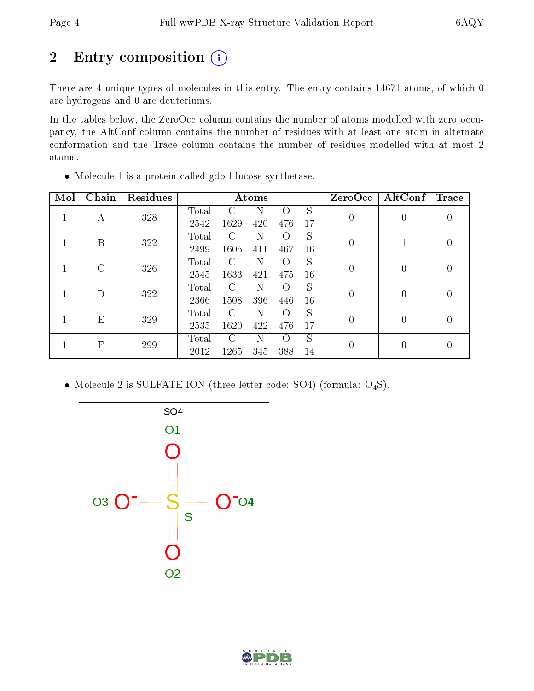# 2 Entry composition (i)

There are 4 unique types of molecules in this entry. The entry contains 14671 atoms, of which 0 are hydrogens and 0 are deuteriums.

In the tables below, the ZeroOcc column contains the number of atoms modelled with zero occupancy, the AltConf column contains the number of residues with at least one atom in alternate conformation and the Trace column contains the number of residues modelled with at most 2 atoms.

| Mol | Chain         | <b>Residues</b> |       |               | Atoms |          |    | ZeroOcc        | AltConf        | <b>Trace</b>     |
|-----|---------------|-----------------|-------|---------------|-------|----------|----|----------------|----------------|------------------|
|     | $\mathbf{A}$  | 328             | Total | C             | Ν     | $\Omega$ | S  | $\overline{0}$ | 0              | 0                |
|     |               |                 | 2542  | 1629          | 420   | 476      | 17 |                |                |                  |
|     | B             | 322             | Total | C             | N     | $\Omega$ | S  | $\theta$       |                | $\left( \right)$ |
|     |               |                 | 2499  | 1605          | 411   | 467      | 16 |                |                |                  |
|     | $\mathcal{C}$ | 326             | Total | $\Gamma$      | N     | $\Omega$ | S  | 0              | $\overline{0}$ | 0                |
|     |               |                 | 2545  | 1633          | 421   | 475      | 16 |                |                |                  |
|     | D             | 322             | Total | C             | Ν     | $\Omega$ | S  | $\overline{0}$ | 0              | 0                |
|     |               |                 | 2366  | 1508          | 396   | 446      | 16 |                |                |                  |
|     | E             | 329             | Total | $\mathcal{C}$ | N     | $\Omega$ | S  | $\theta$       | $\theta$       | 0                |
|     |               |                 | 2535  | 1620          | 422   | 476      | 17 |                |                |                  |
|     | $\mathbf{F}$  | 299             | Total | $\Gamma$      | N     | $\Omega$ | S  |                | $\overline{0}$ | 0                |
|     |               |                 | 2012  | 1265          | 345   | 388      | 14 | $\theta$       |                |                  |

Molecule 1 is a protein called gdp-l-fucose synthetase.

• Molecule 2 is SULFATE ION (three-letter code: SO4) (formula:  $O_4S$ ).



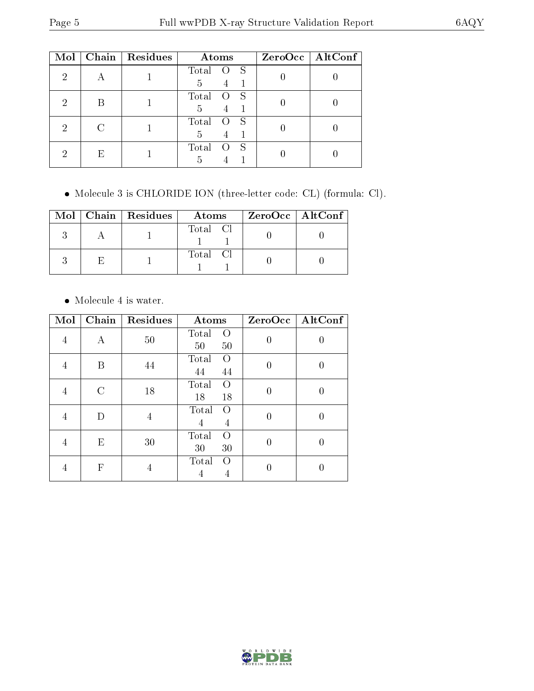| Mol | Chain | Residues | Atoms            | $ZeroOcc \   \ AltConf$ |
|-----|-------|----------|------------------|-------------------------|
| 2   |       |          | Total<br>-S<br>5 |                         |
| റ   |       |          | Total<br>5       |                         |
| 2   |       |          | Total<br>5       |                         |
| '2  | E     |          | Total<br>S<br>5  |                         |

Molecule 3 is CHLORIDE ION (three-letter code: CL) (formula: Cl).

|  | $Mol$   Chain   Residues | Atoms    | ZeroOcc   AltConf |
|--|--------------------------|----------|-------------------|
|  |                          | Total Cl |                   |
|  |                          | Total Cl |                   |

Molecule 4 is water.

| Mol | Chain         | Residues | Atoms                         | ZeroOcc  | AltConf |
|-----|---------------|----------|-------------------------------|----------|---------|
| 4   | Α             | 50       | Total<br>$\Omega$<br>50<br>50 | $\Omega$ | 0       |
| 4   | В             | 44       | Total<br>$\left($<br>44<br>44 | $\Omega$ | U       |
| 4   | $\mathcal{C}$ | 18       | Total<br>$\Omega$<br>18<br>18 | $\Omega$ |         |
| 4   | D             | 4        | Total<br>$\Omega$<br>4<br>4   | 0        | 0       |
| 4   | Ε             | 30       | Total<br>$\Omega$<br>30<br>30 | 0        | O       |
|     | F             | 4        | Total<br>$\bigcirc$<br>4<br>4 |          |         |

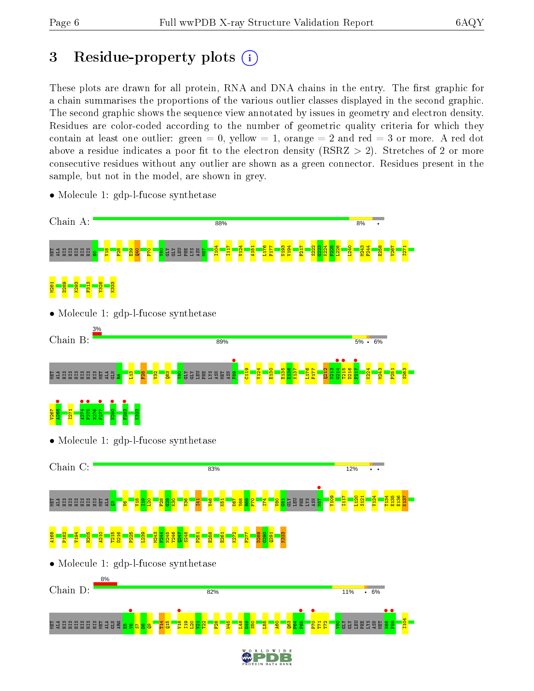# 3 Residue-property plots  $(i)$

These plots are drawn for all protein, RNA and DNA chains in the entry. The first graphic for a chain summarises the proportions of the various outlier classes displayed in the second graphic. The second graphic shows the sequence view annotated by issues in geometry and electron density. Residues are color-coded according to the number of geometric quality criteria for which they contain at least one outlier: green  $= 0$ , yellow  $= 1$ , orange  $= 2$  and red  $= 3$  or more. A red dot above a residue indicates a poor fit to the electron density (RSRZ  $> 2$ ). Stretches of 2 or more consecutive residues without any outlier are shown as a green connector. Residues present in the sample, but not in the model, are shown in grey.



• Molecule 1: gdp-l-fucose synthetase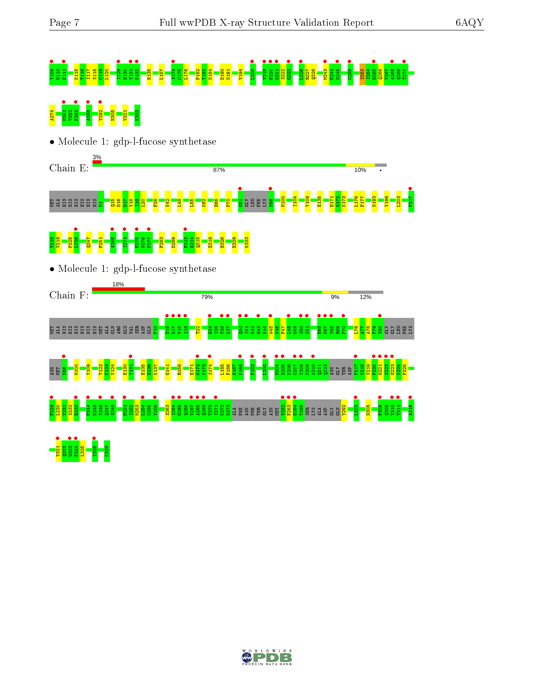# Y109 • D110 F111 • K115 T116 I117 S118 C119 L120 I129 • E130 Y131 • P132 • E135 L157 S174 • C175 L176 P182 T183 N184 D190 N191 V194 L200 • V219 • F220 • G221 • S222 G223 • L226 • R227 Q228 M243 • F244 N245 • C255 • S263 I264 G265 • Q266 V267 A268 • Q269 T270 • **A27 M281 • A288 • A288 • A288 • A288 • A288 • A288 • A288 • A288 • A288 • A288 • A288 • A288 • A288 • A288 • A<br>A27 • A288 • A288 • A288 • A288 • A288 • A288 • A288 • A288 • A288 • A288 • A288 • A288 • A288 • A288 • A288 •**

• Molecule 1: gdp-l-fucose synthetase



#### $\frac{18}{2}$ V219 P225  $1226$   $\bullet$ Q247 P251  $\frac{1}{2}$ **1271 •**<br>F275 •• N276 **•**<br>F277 F283 D289 F313 •  $\frac{14}{13}$ Q315 E319 E326 E329 K333

• Molecule 1: gdp-l-fucose synthetase



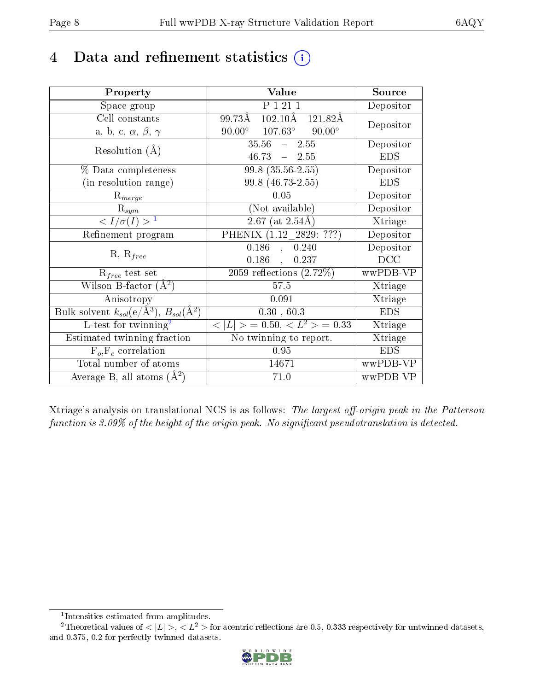# 4 Data and refinement statistics  $(i)$

| Property                                                         | Value                                                  | Source     |
|------------------------------------------------------------------|--------------------------------------------------------|------------|
| Space group                                                      | $P$ $\overline{1}$ $\overline{21}$ $\overline{1}$      | Depositor  |
| Cell constants                                                   | $102.10$ Å $121.82$ Å<br>99.73Å                        | Depositor  |
| a, b, c, $\alpha$ , $\beta$ , $\gamma$                           | $107.63^{\circ}$<br>$90.00^{\circ}$<br>$90.00^{\circ}$ |            |
| Resolution $(A)$                                                 | $35.56 - 2.55$                                         | Depositor  |
|                                                                  | $46.73 - 2.55$                                         | <b>EDS</b> |
| $\%$ Data completeness                                           | $99.8(35.56-2.55)$                                     | Depositor  |
| (in resolution range)                                            | 99.8 (46.73-2.55)                                      | <b>EDS</b> |
| $R_{merge}$                                                      | 0.05                                                   | Depositor  |
| $\mathrm{R}_{sym}$                                               | (Not available)                                        | Depositor  |
| $\langle I/\sigma(I) \rangle^{-1}$                               | $2.67$ (at $2.54$ Å)                                   | Xtriage    |
| Refinement program                                               | PHENIX $(1.12 - \overline{2829: ???)$                  | Depositor  |
|                                                                  | 0.186<br>, 0.240                                       | Depositor  |
| $R, R_{free}$                                                    | 0.186<br>0.237                                         | DCC        |
| $R_{free}$ test set                                              | 2059 reflections $(2.72\%)$                            | wwPDB-VP   |
| Wilson B-factor $(A^2)$                                          | 57.5                                                   | Xtriage    |
| Anisotropy                                                       | 0.091                                                  | Xtriage    |
| Bulk solvent $k_{sol}(\text{e}/\text{A}^3), B_{sol}(\text{A}^2)$ | 0.30, 60.3                                             | <b>EDS</b> |
| L-test for $\mathrm{twinning}^2$                                 | $< L >$ = 0.50, $< L2$ > = 0.33                        | Xtriage    |
| Estimated twinning fraction                                      | No twinning to report.                                 | Xtriage    |
| $\overline{F_o}, \overline{F_c}$ correlation                     | 0.95                                                   | <b>EDS</b> |
| Total number of atoms                                            | 14671                                                  | wwPDB-VP   |
| Average B, all atoms $(A^2)$                                     | 71.0                                                   | wwPDB-VP   |

Xtriage's analysis on translational NCS is as follows: The largest off-origin peak in the Patterson function is  $3.09\%$  of the height of the origin peak. No significant pseudotranslation is detected.

<sup>&</sup>lt;sup>2</sup>Theoretical values of  $\langle |L| \rangle$ ,  $\langle L^2 \rangle$  for acentric reflections are 0.5, 0.333 respectively for untwinned datasets, and 0.375, 0.2 for perfectly twinned datasets.



<span id="page-7-1"></span><span id="page-7-0"></span><sup>1</sup> Intensities estimated from amplitudes.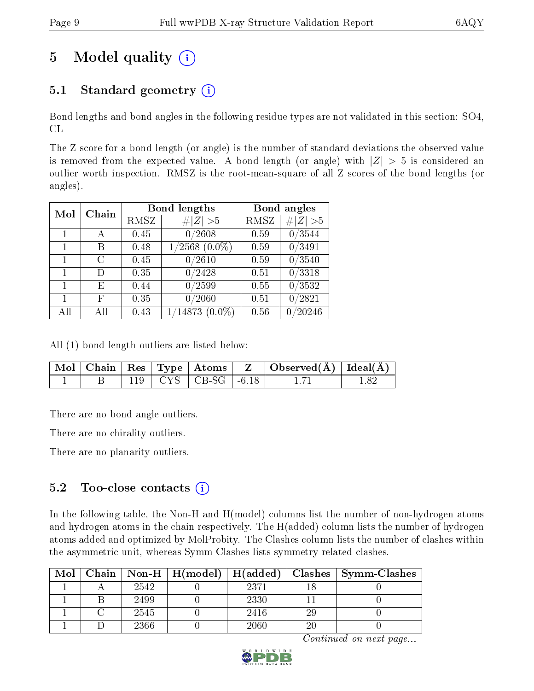# 5 Model quality  $(i)$

### 5.1 Standard geometry  $(i)$

Bond lengths and bond angles in the following residue types are not validated in this section: SO4, CL

The Z score for a bond length (or angle) is the number of standard deviations the observed value is removed from the expected value. A bond length (or angle) with  $|Z| > 5$  is considered an outlier worth inspection. RMSZ is the root-mean-square of all Z scores of the bond lengths (or angles).

| Mol | Chain |                     | <b>Bond lengths</b>   |      | Bond angles         |
|-----|-------|---------------------|-----------------------|------|---------------------|
|     |       | RMSZ<br># $ Z  > 5$ |                       | RMSZ | # $ Z >5$           |
| 1   | А     | 0.45                | 0/2608                | 0.59 | 0/3544              |
| 1   | Β     | 0.48                | $\sqrt{2568 (0.0\%)}$ | 0.59 | 0/3491              |
| 1   | С     | 0.45                | /2610<br>0            | 0.59 | 0/3540              |
| 1   | D     | 0.35                | 0/2428                | 0.51 | $\overline{0/3}318$ |
|     | E,    | 0.44                | /2599<br>0            | 0.55 | 0/3532              |
|     | F     | 0.35                | /2060<br>0            | 0.51 | $^{\prime}2821$     |
| All |       | 0.43                | /14873<br>$(0.0\%)$   | 0.56 | /20246              |

All (1) bond length outliers are listed below:

|  |  |                             | $\mid$ Mol $\mid$ Chain $\mid$ Res $\mid$ Type $\mid$ Atoms $\mid$ $\mid$ Z $\mid$ Observed(Å) $\mid$ Ideal(Å) $\mid$ |  |
|--|--|-----------------------------|-----------------------------------------------------------------------------------------------------------------------|--|
|  |  | $119$   CYS   CB-SG   -6.18 |                                                                                                                       |  |

There are no bond angle outliers.

There are no chirality outliers.

There are no planarity outliers.

#### $5.2$  Too-close contacts  $(i)$

In the following table, the Non-H and H(model) columns list the number of non-hydrogen atoms and hydrogen atoms in the chain respectively. The H(added) column lists the number of hydrogen atoms added and optimized by MolProbity. The Clashes column lists the number of clashes within the asymmetric unit, whereas Symm-Clashes lists symmetry related clashes.

| Mol |      | Chain   Non-H   H(model)   H(added) |      |    | $\textbf{Class} \mid \textbf{Symm-Class}$ |
|-----|------|-------------------------------------|------|----|-------------------------------------------|
|     | 2542 |                                     | 2371 |    |                                           |
|     | 2499 |                                     | 2330 |    |                                           |
|     | 2545 |                                     | 2416 | 29 |                                           |
|     | 2366 |                                     | 2060 | 20 |                                           |

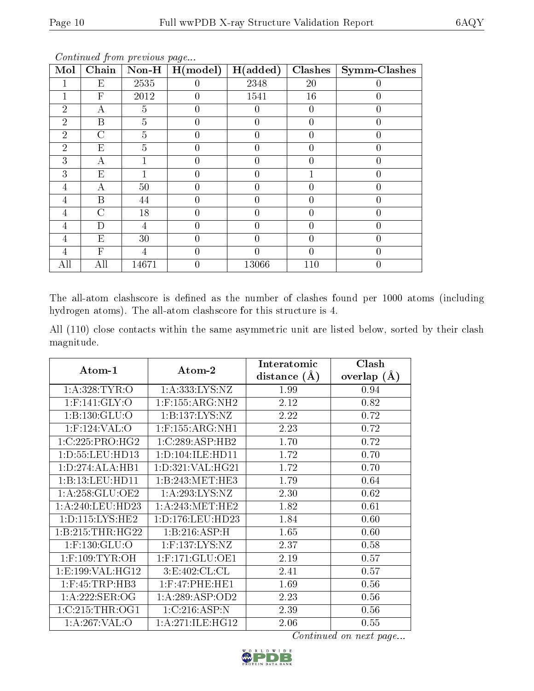| Mol            | Chain                     | $\bf Non-H$    | H (model)      | H(added)       | Clashes          | <b>Symm-Clashes</b> |
|----------------|---------------------------|----------------|----------------|----------------|------------------|---------------------|
|                | E                         | 2535           | $\theta$       | 2348           | 20               | 0                   |
|                | $\overline{F}$            | 2012           | $\Omega$       | 1541           | 16               | 0                   |
| $\overline{2}$ | А                         | 5              | 0              | $\overline{0}$ | $\overline{0}$   | 0                   |
| $\overline{2}$ | B                         | 5              | $\theta$       | $\theta$       | $\theta$         | 0                   |
| $\overline{2}$ | $\overline{C}$            | $\overline{5}$ | $\overline{0}$ | $\theta$       | $\theta$         | 0                   |
| $\overline{2}$ | E                         | 5              |                |                | 0                | 0                   |
| 3              | А                         |                | 0              | 0              | $\left($         | 0                   |
| 3              | $E_{\rm}$                 |                | $\theta$       | $\theta$       |                  | 0                   |
| 4              | А                         | 50             | $\theta$       | $\theta$       | $\theta$         | 0                   |
| 4              | B                         | 44             | $\overline{0}$ | $\overline{0}$ | 0                | 0                   |
| 4              | $\overline{C}$            | 18             | $\theta$       | 0              | $\theta$         | 0                   |
| 4              | D                         | 4              | $\theta$       | $\theta$       | 0                | 0                   |
| 4              | E                         | 30             | 0              | 0              | 0                | 0                   |
| 4              | $\boldsymbol{\mathrm{F}}$ | 4              | 0              | 0              | $\left( \right)$ | 0                   |
| All            | All                       | 14671          | $\overline{0}$ | 13066          | 110              | 0                   |

The all-atom clashscore is defined as the number of clashes found per 1000 atoms (including hydrogen atoms). The all-atom clashscore for this structure is 4.

|            |  |  | All (110) close contacts within the same asymmetric unit are listed below, sorted by their clash |  |  |  |  |
|------------|--|--|--------------------------------------------------------------------------------------------------|--|--|--|--|
| magnitude. |  |  |                                                                                                  |  |  |  |  |

| Atom-1               | Atom-2                | Interatomic    | Clash         |
|----------------------|-----------------------|----------------|---------------|
|                      |                       | distance $(A)$ | overlap $(A)$ |
| 1: A:328: TYR:O      | 1: A: 333: LYS: NZ    | 1.99           | 0.94          |
| $1:$ F:141:GLY:O     | $1:$ F:155:ARG:NH2    | 2.12           | 0.82          |
| 1:B:130:GLU:O        | 1:B:137:LYS:NZ        | 2.22           | 0.72          |
| $1:$ F:124:VAL:O     | $1:$ F:155:ARG:NH1    | 2.23           | 0.72          |
| 1:C:225:PRO:HG2      | 1:C:289:ASP:HB2       | 1.70           | 0.72          |
| 1: D: 55: LEU: HD13  | 1: D: 104: ILE: H D11 | 1.72           | 0.70          |
| 1: D: 274: ALA: HB1  | 1: D:321: VAL:HG21    | 1.72           | 0.70          |
| 1:B:13:LEU:HD11      | 1:B:243:MET:HE3       | 1.79           | 0.64          |
| 1: A:258: GLU:OE2    | 1: A:293: LYS: NZ     | 2.30           | 0.62          |
| 1: A:240:LEU:HD23    | 1: A:243:MET:HE2      | 1.82           | 0.61          |
| 1: D: 115: LYS: HE2  | 1:D:176:LEU:HD23      | 1.84           | 0.60          |
| 1:B:215:THR:HG22     | 1:B:216:ASP:H         | 1.65           | 0.60          |
| $1:$ F:130: $GLU:$ O | $1:$ F:137:LYS:NZ     | 2.37           | 0.58          |
| $1:$ F:109:TYR:OH    | $1:$ F:171:GLU:OE1    | 2.19           | 0.57          |
| 1: E: 199: VAL: HG12 | 3: E:402: CL: CL      | 2.41           | 0.57          |
| $1:$ F:45:TRP:HB3    | $1:$ F:47:PHE:HE1     | 1.69           | 0.56          |
| 1:A:222:SER:OG       | 1:A:289:ASP:OD2       | 2.23           | 0.56          |
| 1:C:215:THR:OG1      | 1:C:216:ASP:N         | 2.39           | 0.56          |
| 1:A:267:VAL:O        | 1: A:271: ILE: HG12   | 2.06           | 0.55          |

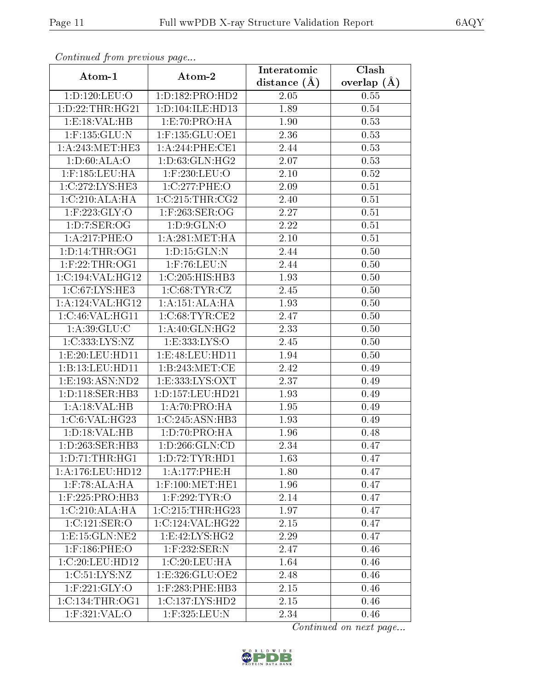| Continued from previous page |                             | Interatomic      | $\overline{\text{Clash}}$ |
|------------------------------|-----------------------------|------------------|---------------------------|
| Atom-1                       | Atom-2                      | distance $(\AA)$ | overlap $(\AA)$           |
| 1:D:120:LEU:O                | 1:D:182:PRO:HD2             | 2.05             | 0.55                      |
| 1: D: 22: THR: HG21          | 1:D:104:ILE:HD13            | 1.89             | 0.54                      |
| 1:E:18:VAL:HB                | 1:E:70:PRO:HA               | 1.90             | 0.53                      |
| $1:$ F:135:GLU:N             | $1:$ F:135:GLU:OE1          | 2.36             | 0.53                      |
| 1: A:243:MET:HE3             | 1:A:244:PHE:CE1             | 2.44             | 0.53                      |
| 1: D:60: ALA:O               | 1: D: 63: GLN: HG2          | 2.07             | 0.53                      |
| $1:$ F:185:LEU:HA            | 1:F:230:LEU:O               | 2.10             | 0.52                      |
| 1:C:272:LYS:HE3              | 1:C:277:PHE:O               | 2.09             | 0.51                      |
| 1:C:210:ALA:HA               | 1:C:215:THR:CG2             | 2.40             | 0.51                      |
| $1:$ F:223:GLY:O             | 1:F:263:SER:OG              | 2.27             | 0.51                      |
| 1: D: 7: SER: OG             | 1: D: 9: GLN: O             | 2.22             | 0.51                      |
| 1:A:217:PHE:O                | 1: A:281: MET:HA            | 2.10             | 0.51                      |
| 1: D: 14: THR: OG1           | 1: D: 15: GLN:N             | 2.44             | 0.50                      |
| $1:$ F:22:THR:OG1            | $1:$ F:76:LEU:N             | 2.44             | 0.50                      |
| 1:C:194:VAL:HG12             | 1:C:205:HIS:HB3             | 1.93             | 0.50                      |
| 1: C:67: LYS: HE3            | 1: C:68: TYR: CZ            | 2.45             | 0.50                      |
| 1:A:124:VAL:HG12             | 1:A:151:ALA:HA              | 1.93             | 0.50                      |
| 1:C:46:VAL:HG11              | 1:C:68:TYR:CE2              | 2.47             | 0.50                      |
| 1: A:39: GLU: C              | $1:A:40:G\overline{LN:HG2}$ | 2.33             | 0.50                      |
| 1:C:333:LYS:NZ               | 1:E:333:LYS:O               | 2.45             | 0.50                      |
| 1:E:20:LEU:HD11              | 1:E:48:LEU:HD11             | 1.94             | 0.50                      |
| 1:B:13:LEU:HD11              | 1:B:243:MET:CE              | 2.42             | 0.49                      |
| 1:E:193:ASN:ND2              | 1: E: 333: LYS: OXT         | 2.37             | 0.49                      |
| 1:D:118:SER:HB3              | 1: D: 157: LEU: HD21        | 1.93             | 0.49                      |
| 1:A:18:VAL:HB                | 1:A:70:PRO:HA               | 1.95             | 0.49                      |
| 1:C:6:VAL:HG23               | 1:C:245:ASN:HB3             | 1.93             | 0.49                      |
| 1: D: 18: VAL: HB            | 1:D:70:PRO:HA               | 1.96             | 0.48                      |
| 1:D:263:SER:HB3              | 1:D:266:GLN:CD              | 2.34             | 0.47                      |
| 1:D:71:THR:HGI               | 1:D:72:TYR:HD1              | 1.63             | 0.47                      |
| 1:A:176:LEU:HD12             | 1:A:177:PHE:H               | 1.80             | 0.47                      |
| $1:$ F:78:ALA:HA             | $1:$ F:100:MET:HE1          | 1.96             | 0.47                      |
| $1:$ F:225:PRO:HB3           | $1:$ F:292:TYR:O            | 2.14             | 0.47                      |
| 1:C:210:ALA:HA               | 1:C:215:THR:HG23            | 1.97             | 0.47                      |
| 1:C:121:SER:O                | 1:C:124:VAL:HG22            | 2.15             | 0.47                      |
| 1: E: 15: GLN: NE2           | 1:E:42:LYS:HG2              | 2.29             | 0.47                      |
| $1:$ F:186:PHE:O             | $1:$ F:232:SER:N            | 2.47             | 0.46                      |
| 1:C:20:LEU:HD12              | 1:C:20:LEU:HA               | 1.64             | 0.46                      |
| 1:C:51:LYS:NZ                | 1:E:326:GLU:OE2             | 2.48             | 0.46                      |
| $1:$ F:221:GLY:O             | $1:$ F:283:PHE:HB3          | 2.15             | 0.46                      |
| 1:C:134:THR:OG1              | 1:C:137:LYS:HD2             | 2.15             | 0.46                      |
| 1:F:321:VAL:O                | 1:F:325:LEU:N               | 2.34             | 0.46                      |

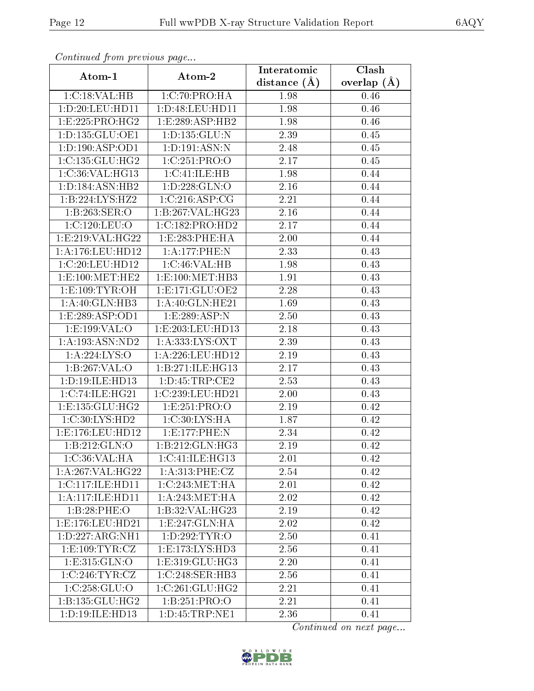| Continuou from precious page |                     | Interatomic    | Clash           |
|------------------------------|---------------------|----------------|-----------------|
| Atom-1                       | Atom-2              | distance $(A)$ | overlap $(\AA)$ |
| 1:C:18:VAL:HB                | 1:C:70:PRO:HA       | 1.98           | 0.46            |
| 1: D: 20: LEU: HD11          | 1:D:48:LEU:HD11     | 1.98           | 0.46            |
| 1:E:225:PRO:HG2              | 1:E:289:ASP:HB2     | 1.98           | 0.46            |
| 1:D:135:GLU:OE1              | 1: D: 135: GLU: N   | 2.39           | 0.45            |
| 1: D: 190: ASP: OD1          | 1: D: 191: ASN: N   | 2.48           | 0.45            |
| 1:C:135:GLU:HG2              | 1:C:251:PRO:O       | 2.17           | 0.45            |
| 1:C:36:VAL:HG13              | 1:C:41:ILE:HB       | 1.98           | 0.44            |
| 1: D: 184: ASN: HB2          | 1: D: 228: GLN:O    | 2.16           | 0.44            |
| 1:B:224:LYS:HZ2              | 1:C:216:ASP:CG      | 2.21           | 0.44            |
| 1:B:263:SER:O                | 1:B:267:VAL:HG23    | 2.16           | 0.44            |
| 1:C:120:LEU:O                | 1:C:182:PRO:HD2     | 2.17           | 0.44            |
| 1:E:219:VAL:HG22             | 1:E:283:PHE:HA      | 2.00           | 0.44            |
| 1:A:176:LEU:HD12             | 1:A:177:PHE:N       | 2.33           | 0.43            |
| 1:C:20:LEU:HD12              | 1:C:46:VAL:HB       | 1.98           | 0.43            |
| 1:E:100:MET:HE2              | 1:E:100:MET:HB3     | 1.91           | 0.43            |
| 1: E: 109: TYR: OH           | $1:$ E:171:GLU:OE2  | 2.28           | 0.43            |
| 1:A:40:GLN:HB3               | 1: A:40: GLN: HE21  | 1.69           | 0.43            |
| 1:E:289:ASP:OD1              | 1:E:289:ASP:N       | 2.50           | 0.43            |
| 1:E:199:VAL:O                | 1:E:203:LEU:HD13    | 2.18           | 0.43            |
| 1:A:193:ASN:ND2              | 1: A: 333: LYS: OXT | 2.39           | 0.43            |
| 1: A:224:LYS:O               | 1:A:226:LEU:HD12    | 2.19           | 0.43            |
| 1:B:267:VAL:O                | 1:B:271:ILE:HG13    | 2.17           | 0.43            |
| 1: D: 19: ILE: HD13          | 1: D: 45: TRP: CE2  | 2.53           | 0.43            |
| 1:C:74:ILE:HG21              | 1:C:239:LEU:HD21    | 2.00           | 0.43            |
| 1:E:135:GLU:HG2              | 1:E:251:PRO:O       | 2.19           | 0.42            |
| 1:C:30:LYS:HD2               | 1: C:30: LYS: HA    | 1.87           | 0.42            |
| 1:E:176:LEU:HD12             | 1:E:177:PHE:N       | 2.34           | 0.42            |
| 1:B:212:GLN:O                | 1:B:212:GLN:HG3     | 2.19           | 0.42            |
| 1:C:36:VAL:HA                | 1:C:41:ILE:HG13     | 2.01           | 0.42            |
| 1:A:267:VAL:HG22             | 1: A:313: PHE: CZ   | 2.54           | 0.42            |
| 1:C:117:ILE:HD11             | 1:C:243:MET:HA      | 2.01           | 0.42            |
| 1:A:117:ILE:HD11             | 1: A:243:MET:HA     | 2.02           | 0.42            |
| 1:B:28:PHE:O                 | 1:B:32:VAL:HG23     | 2.19           | 0.42            |
| 1:E:176:LEU:HD21             | 1:E:247:GLN:HA      | 2.02           | 0.42            |
| 1:D:227:ARG:NH1              | 1:D:292:TYR:O       | 2.50           | 0.41            |
| 1: E: 109: TYR: CZ           | 1:E:173:LYS:HD3     | 2.56           | 0.41            |
| 1:E:315:GLN:O                | 1: E: 319: GLU: HG3 | 2.20           | 0.41            |
| 1:C:246:TYR:CZ               | 1:C:248:SER:HB3     | 2.56           | 0.41            |
| 1:C:258:GLU:O                | 1:C:261:GLU:HG2     | 2.21           | 0.41            |
| 1: B: 135: GLU: HG2          | 1: B: 251: PRO:O    | 2.21           | 0.41            |
| 1:D:19:ILE:HD13              | 1:D:45:TRP:NE1      | 2.36           | 0.41            |

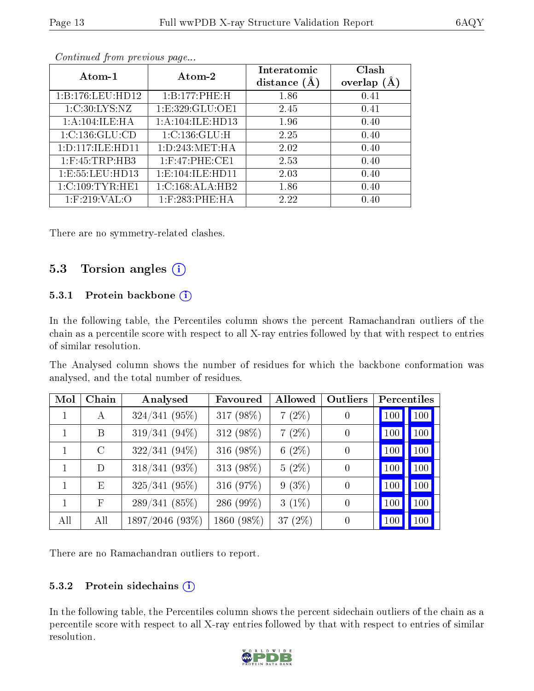|--|--|

| Atom-1               | Atom-2               | Interatomic<br>distance $(A)$ | Clash<br>overlap $(A)$ |
|----------------------|----------------------|-------------------------------|------------------------|
| 1: B: 176: LEU: HD12 | 1:B:177:PHE:H        | 1.86                          | 0.41                   |
| 1:C:30:LYS:NZ        | 1: E: 329: GLU: OE1  | 2.45                          | 0.41                   |
| 1:A:104:ILE:HA       | 1: A: 104: ILE: HD13 | 1.96                          | 0.40                   |
| 1:C:136:GLU:CD       | 1:C:136:GLU:H        | 2.25                          | 0.40                   |
| 1:D:117:ILE:HD11     | 1: D: 243: MET: HA   | 2.02                          | 0.40                   |
| $1:$ F:45:TRP:HB3    | $1:$ F:47:PHE:CE1    | 2.53                          | 0.40                   |
| 1:E:55:LEU:HD13      | 1: E: 104: ILE: HD11 | 2.03                          | 0.40                   |
| 1:C:109:TYR:HE1      | 1:C:168:ALA:HB2      | 1.86                          | 0.40                   |
| $1:$ F:219:VAL:O     | $1:$ F:283:PHE:HA    | 2.22                          | 0.40                   |

There are no symmetry-related clashes.

#### 5.3 Torsion angles (i)

#### 5.3.1 Protein backbone  $(i)$

In the following table, the Percentiles column shows the percent Ramachandran outliers of the chain as a percentile score with respect to all X-ray entries followed by that with respect to entries of similar resolution.

The Analysed column shows the number of residues for which the backbone conformation was analysed, and the total number of residues.

| Mol | Chain   | Analysed        | Favoured   | Allowed    | Outliers |     | Percentiles |
|-----|---------|-----------------|------------|------------|----------|-----|-------------|
|     | A       | $324/341$ (95%) | 317 (98%)  | $7(2\%)$   |          | 100 | 100         |
|     | B       | 319/341 (94%)   | 312 (98%)  | $7(2\%)$   |          | 100 | 100         |
| 1   | $\rm C$ | $322/341(94\%)$ | 316 (98%)  | 6 $(2\%)$  |          | 100 | 100         |
| 1   | D       | 318/341 (93%)   | 313 (98%)  | $5(2\%)$   | $\theta$ | 100 | 100         |
| 1   | Ε       | $325/341$ (95%) | 316 (97%)  | $9(3\%)$   | $\theta$ | 100 | 100         |
|     | F       | 289/341(85%)    | 286 (99%)  | $3(1\%)$   |          | 100 | 100         |
| All | All     | 1897/2046 (93%) | 1860 (98%) | 37 $(2\%)$ |          | 100 | 100         |

There are no Ramachandran outliers to report.

#### 5.3.2 Protein sidechains  $(i)$

In the following table, the Percentiles column shows the percent sidechain outliers of the chain as a percentile score with respect to all X-ray entries followed by that with respect to entries of similar resolution.

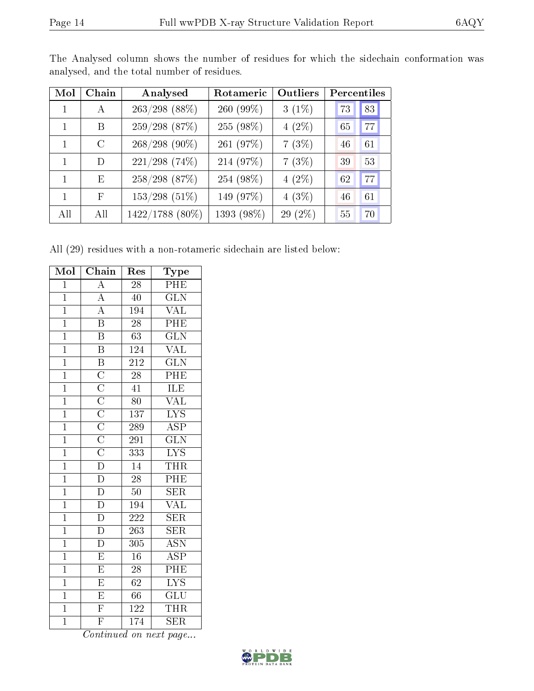| Mol | Chain      | Analysed        | Rotameric  | Outliers | Percentiles |
|-----|------------|-----------------|------------|----------|-------------|
|     | $\bf{A}$   | $263/298$ (88%) | 260 (99%)  | $3(1\%)$ | 83<br>73    |
| 1   | B          | $259/298$ (87%) | 255 (98%)  | $4(2\%)$ | 77<br>65    |
| 1   | $\bigcap$  | $268/298(90\%)$ | 261 (97%)  | 7(3%)    | 61<br>46    |
| 1   | D          | $221/298$ (74%) | 214 (97%)  | 7(3%)    | 53<br>39    |
| 1   | E          | $258/298$ (87%) | 254 (98%)  | $4(2\%)$ | 77<br>62    |
| 1   | $_{\rm F}$ | $153/298$ (51%) | 149 (97%)  | $4(3\%)$ | 61<br>46    |
| All | All        | 1422/1788 (80%) | 1393 (98%) | 29 (2%)  | 70<br>55    |

The Analysed column shows the number of residues for which the sidechain conformation was analysed, and the total number of residues.

All (29) residues with a non-rotameric sidechain are listed below:

| Mol            | $\overline{\text{Chain}}$                                                                                                      | Res              | Type                      |
|----------------|--------------------------------------------------------------------------------------------------------------------------------|------------------|---------------------------|
| $\overline{1}$ | $\overline{A}$                                                                                                                 | 28               | ${\rm PHE}$               |
| $\overline{1}$ | $\overline{A}$                                                                                                                 | 40               | $\overline{\text{GLN}}$   |
| $\overline{1}$ | $\overline{A}$                                                                                                                 | 194              | <b>VAL</b>                |
| $\overline{1}$ | $\overline{\mathrm{B}}$                                                                                                        | $\overline{28}$  | PHE                       |
| $\overline{1}$ | $\overline{\mathbf{B}}$                                                                                                        | 63               | $\overline{\text{GLN}}$   |
| $\overline{1}$ | $\overline{\mathbf{B}}$                                                                                                        | 124              | $\overline{\text{VAL}}$   |
| $\overline{1}$ | $\overline{B}$                                                                                                                 | <b>212</b>       | $\overline{\text{GLN}}$   |
| $\overline{1}$ |                                                                                                                                | $\overline{28}$  | PHE                       |
| $\overline{1}$ |                                                                                                                                | $\overline{41}$  | ILE                       |
| $\mathbf{1}$   | $\overline{C}\ \overline{C}\ \overline{C}\ \overline{C}\ \overline{C}\ \overline{C}\ \overline{C}\ \overline{C}\ \overline{D}$ | 80               | <b>VAL</b>                |
| $\overline{1}$ |                                                                                                                                | 137              | $\overline{\text{LYS}}$   |
| $\overline{1}$ |                                                                                                                                | 289              | $\overline{\text{ASP}}$   |
| $\overline{1}$ |                                                                                                                                | 291              | $\overline{\text{GLN}}$   |
| $\overline{1}$ |                                                                                                                                | 333              | $\overline{\text{LYS}}$   |
| $\overline{1}$ |                                                                                                                                | $14\,$           | <b>THR</b>                |
| $\overline{1}$ | $\overline{D}$                                                                                                                 | $\overline{28}$  | PHE                       |
| $\overline{1}$ | $\overline{\mathrm{D}}$                                                                                                        | $50\,$           | $\overline{\text{SER}}$   |
| $\overline{1}$ | $\overline{D}$                                                                                                                 | 194              | $\overline{\text{VAL}}$   |
| $\overline{1}$ | $\overline{\mathrm{D}}$                                                                                                        | $\overline{222}$ | $\overline{\text{SER}}$   |
| $\mathbf{1}$   | $\overline{\rm D}$                                                                                                             | 263              | $\overline{\text{SER}}$   |
| $\overline{1}$ | $\overline{\mathbb{D}}$                                                                                                        | $\overline{305}$ | $\overline{\text{ASN}}$   |
| $\overline{1}$ | $\overline{\mathrm{E}}$                                                                                                        | 16               | $\overline{\text{ASP}}$   |
| $\mathbf{1}$   | $\overline{E}$                                                                                                                 | 28               | $\overline{\mathrm{PHE}}$ |
| $\overline{1}$ | $\overline{E}$                                                                                                                 | 62               | $\overline{\text{LYS}}$   |
| $\overline{1}$ | $\overline{\mathrm{E}}$                                                                                                        | 66               | $\overline{\text{GLU}}$   |
| $\overline{1}$ | $\overline{\mathrm{F}}$                                                                                                        | $\overline{122}$ | <b>THR</b>                |
| $\overline{1}$ | $\overline{\mathrm{F}}$                                                                                                        | 174              | <b>SER</b>                |

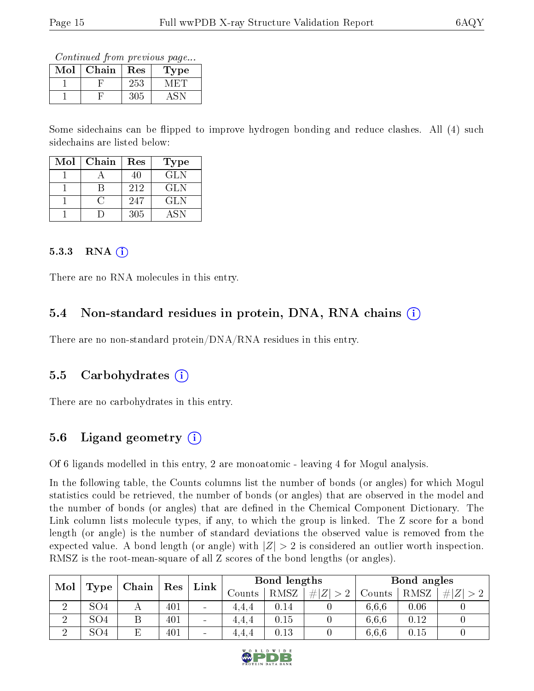Continued from previous page...

| $\operatorname{Mol}$ | Chain | Res | Type |
|----------------------|-------|-----|------|
|                      |       | 253 |      |
|                      |       | 305 |      |

Some sidechains can be flipped to improve hydrogen bonding and reduce clashes. All (4) such sidechains are listed below:

| Mol | Chain | Res | Type       |
|-----|-------|-----|------------|
|     |       | 40  | <b>GLN</b> |
|     |       | 212 | GLN        |
|     |       | 247 | <b>GLN</b> |
|     |       | 305 | ASN        |

#### $5.3.3$  RNA  $(i)$

There are no RNA molecules in this entry.

#### 5.4 Non-standard residues in protein, DNA, RNA chains (i)

There are no non-standard protein/DNA/RNA residues in this entry.

#### 5.5 Carbohydrates (i)

There are no carbohydrates in this entry.

#### 5.6 Ligand geometry  $(i)$

Of 6 ligands modelled in this entry, 2 are monoatomic - leaving 4 for Mogul analysis.

In the following table, the Counts columns list the number of bonds (or angles) for which Mogul statistics could be retrieved, the number of bonds (or angles) that are observed in the model and the number of bonds (or angles) that are defined in the Chemical Component Dictionary. The Link column lists molecule types, if any, to which the group is linked. The Z score for a bond length (or angle) is the number of standard deviations the observed value is removed from the expected value. A bond length (or angle) with  $|Z| > 2$  is considered an outlier worth inspection. RMSZ is the root-mean-square of all Z scores of the bond lengths (or angles).

| Mol<br>Type |                 | Chain | Res | Link                     | Bond lengths |                 |        | Bond angles |      |  |
|-------------|-----------------|-------|-----|--------------------------|--------------|-----------------|--------|-------------|------|--|
|             |                 |       |     | Counts                   | RMSZ         | Z  <br>$\sim$ 0 | Counts | RMSZ        | Z    |  |
|             | SO <sub>4</sub> |       | 401 | $\overline{\phantom{a}}$ | 4.4.4        | $0.14\,$        |        | 6,6,6       | 0.06 |  |
| ച           | SO <sub>4</sub> |       | 401 | $\sim$                   | 4.4.4        | 0.15            |        | 6,6,6       | 0.12 |  |
| ച           | SO <sub>4</sub> | Е     | 401 | $\sim$                   | 4.4.4        | 0.13            |        | 6,6,6       | 0.15 |  |

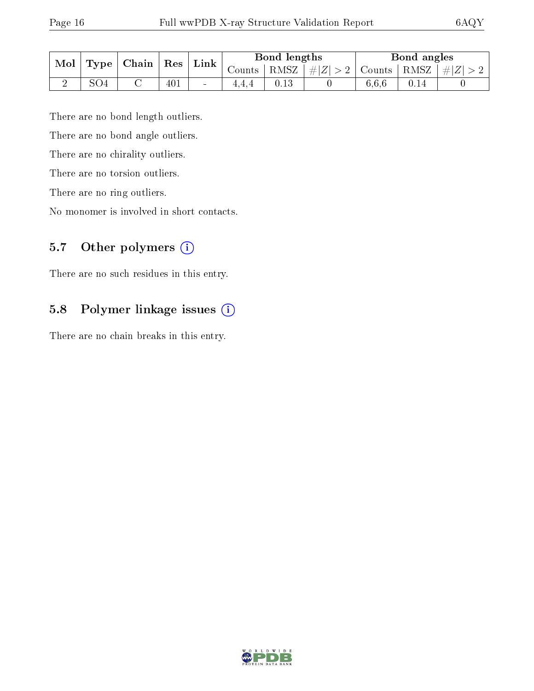| Mol |              | $\top$ Chain $\top$ | $\operatorname{Res}$ | Link   | Bond lengths |      |                                                               | Bond angles |      |  |
|-----|--------------|---------------------|----------------------|--------|--------------|------|---------------------------------------------------------------|-------------|------|--|
|     | $\Gamma$ ype |                     |                      |        |              |      | Counts   RMSZ $\mid \#  Z  > 2$   Counts   RMSZ $\mid \#  Z $ |             |      |  |
|     | SO4          |                     | 401                  | $\sim$ | 4.4.4        | 0.13 |                                                               | 6.6.6       | 0.14 |  |

There are no bond length outliers.

There are no bond angle outliers.

There are no chirality outliers.

There are no torsion outliers.

There are no ring outliers.

No monomer is involved in short contacts.

#### 5.7 [O](https://www.wwpdb.org/validation/2017/XrayValidationReportHelp#nonstandard_residues_and_ligands)ther polymers (i)

There are no such residues in this entry.

#### 5.8 Polymer linkage issues (i)

There are no chain breaks in this entry.

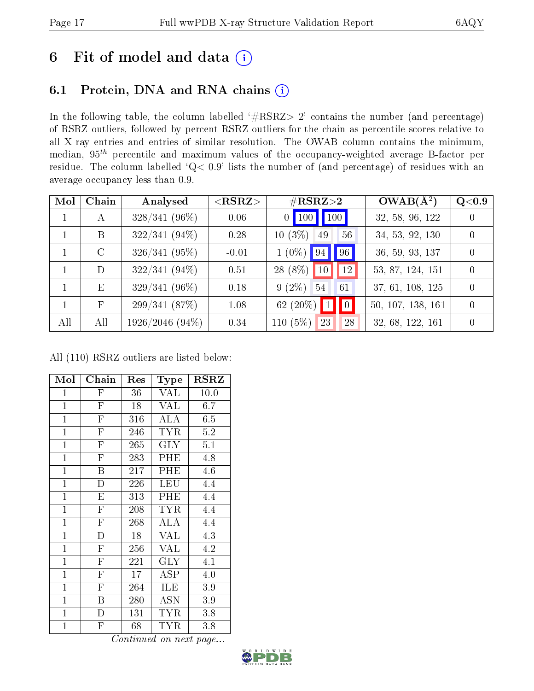# 6 Fit of model and data  $(i)$

### 6.1 Protein, DNA and RNA chains  $(i)$

In the following table, the column labelled  $#RSRZ> 2'$  contains the number (and percentage) of RSRZ outliers, followed by percent RSRZ outliers for the chain as percentile scores relative to all X-ray entries and entries of similar resolution. The OWAB column contains the minimum, median,  $95<sup>th</sup>$  percentile and maximum values of the occupancy-weighted average B-factor per residue. The column labelled ' $Q< 0.9$ ' lists the number of (and percentage) of residues with an average occupancy less than 0.9.

| Mol          | Chain        | Analysed        | $<$ RSRZ $>$ | $\#\text{RSRZ}\text{>2}$              | $OWAB(\overline{A^2})$ | Q <sub>0.9</sub> |
|--------------|--------------|-----------------|--------------|---------------------------------------|------------------------|------------------|
| $\mathbf{1}$ | А            | $328/341(96\%)$ | 0.06         | 100 100                               | 32, 58, 96, 122        | $\Omega$         |
|              | B            | $322/341(94\%)$ | 0.28         | $10(3\%)$<br>56<br>49                 | 34, 53, 92, 130        | $\Omega$         |
|              | $\rm C$      | $326/341(95\%)$ | $-0.01$      | 96<br>$1(0\%)$<br> 94                 | 36, 59, 93, 137        | $\theta$         |
|              | D            | $322/341(94\%)$ | 0.51         | 28 (8%)<br>12<br>10 <sup>°</sup>      | 53, 87, 124, 151       | 0                |
|              | E            | $329/341(96\%)$ | 0.18         | $9(2\%)$<br>54<br>61                  | 37, 61, 108, 125       | $\theta$         |
|              | $\mathbf{F}$ | 299/341(87%)    | 1.08         | 62 $(20\%)$ 1<br>$\vert\vert 0 \vert$ | 50, 107, 138, 161      | $\Omega$         |
| All          | All          | 1926/2046 (94%) | 0.34         | 110 $(5%)$<br>28<br>23                | 32, 68, 122, 161       | $\Omega$         |

All (110) RSRZ outliers are listed below:

| Mol            | Chain                   | Res | $_{\rm Type}$        | <b>RSRZ</b> |
|----------------|-------------------------|-----|----------------------|-------------|
| $\mathbf{1}$   | F                       | 36  | <b>VAL</b>           | 10.0        |
| $\mathbf{1}$   | $\overline{\mathrm{F}}$ | 18  | <b>VAL</b>           | 6.7         |
| $\mathbf{1}$   | $\overline{\mathrm{F}}$ | 316 | ALA                  | 6.5         |
| $\mathbf{1}$   | $\overline{\mathrm{F}}$ | 246 | <b>TYR</b>           | $5.2\,$     |
| $\mathbf{1}$   | $\overline{\mathrm{F}}$ | 265 | <b>GLY</b>           | 5.1         |
| $\overline{1}$ | $\overline{\mathrm{F}}$ | 283 | PHE                  | 4.8         |
| $\overline{1}$ | $\overline{\mathrm{B}}$ | 217 | $\overline{P}$ HE    | 4.6         |
| $\mathbf{1}$   | $\overline{D}$          | 226 | LEU                  | 4.4         |
| $\mathbf{1}$   | E                       | 313 | PHE                  | 4.4         |
| $\mathbf{1}$   | $\overline{\mathrm{F}}$ | 208 | <b>TYR</b>           | 4.4         |
| $\mathbf{1}$   | $\mathbf{F}$            | 268 | ALA                  | 4.4         |
| $\mathbf{1}$   | $\overline{\rm D}$      | 18  | VAL                  | 4.3         |
| $\mathbf{1}$   | $\overline{F}$          | 256 | VAL                  | 4.2         |
| $\overline{1}$ | $\overline{\mathrm{F}}$ | 221 | <b>GLY</b>           | 4.1         |
| $\mathbf{1}$   | $\overline{\mathrm{F}}$ | 17  | ASP                  | 4.0         |
| $\mathbf{1}$   | $\mathbf F$             | 264 | ILE                  | 3.9         |
| $\mathbf{1}$   | B                       | 280 | $\operatorname{ASN}$ | 3.9         |
| $\mathbf{1}$   | D                       | 131 | TYR                  | 3.8         |
| $\mathbf 1$    | $\overline{F}$          | 68  | TYR                  | 3.8         |

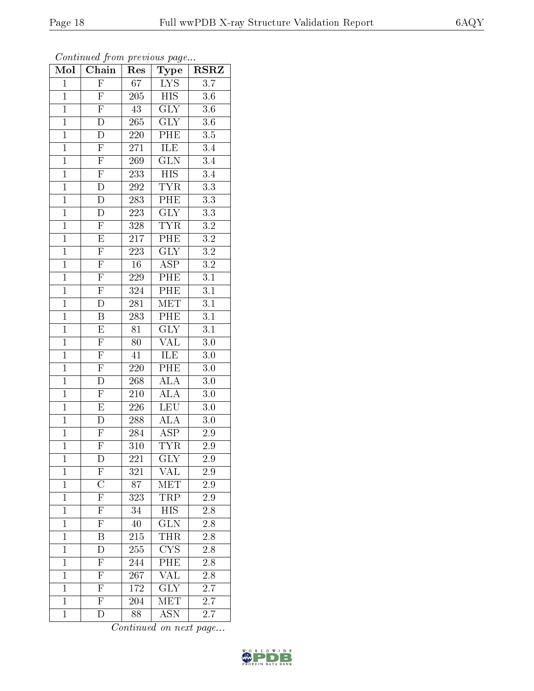| $\mathrm{Mo}\bar{\mathrm{I}}$ | Chain                               | Res              | Type                         | <b>RSRZ</b>      |
|-------------------------------|-------------------------------------|------------------|------------------------------|------------------|
| $\overline{1}$                | $\overline{F}$                      | 67               | $\overline{L} \overline{YS}$ | $\overline{3.7}$ |
| $\overline{1}$                | $\overline{F}$                      | $20\overline{5}$ | $\overline{HIS}$             | 3.6              |
| $\overline{1}$                | $\overline{\mathrm{F}}$             | $\overline{43}$  | $\overline{\text{GLY}}$      | $\overline{3.6}$ |
| $\mathbf{1}$                  | D                                   | $265\,$          | $\overline{\text{GLY}}$      | $3.6\,$          |
| $\overline{1}$                | $\overline{\rm D}$                  | $\overline{220}$ | PHE                          | $\overline{3.5}$ |
| $\overline{1}$                | $\overline{F}$                      | $271\,$          | <b>ILE</b>                   | 3.4              |
| $\overline{1}$                | $\overline{F}$                      | $\overline{269}$ | $\overline{\text{GLN}}$      | $\overline{3.4}$ |
| $\overline{1}$                | $\overline{F}$                      | 233              | $\overline{HIS}$             | $\overline{3.4}$ |
| $\overline{1}$                | $\overline{D}$                      | <b>292</b>       | <b>TYR</b>                   | $\overline{3.3}$ |
| $\overline{1}$                | $\overline{D}$                      | <b>283</b>       | PHE                          | $\overline{3.3}$ |
| $\overline{1}$                | D                                   | 223              | $\overline{\text{GLY}}$      | $\overline{3.3}$ |
| $\overline{1}$                | $\overline{F}$                      | 328              | <b>TYR</b>                   | $\overline{3.2}$ |
| $\overline{1}$                | $\overline{E}$                      | $\overline{217}$ | $\overline{\rm{PHE}}$        | $\overline{3.2}$ |
| $\mathbf{1}$                  | $\overline{F}$                      | 223              | $\overline{\text{GLY}}$      | $\overline{3.2}$ |
| $\overline{1}$                | $\overline{F}$                      | $\overline{16}$  | $\overline{\text{ASP}}$      | $\overline{3.2}$ |
| $\overline{1}$                | $\overline{F}$                      | 229              | PHE                          | $\overline{3.1}$ |
| $\overline{1}$                | $\overline{F}$                      | 324              | $\overline{\rm PHE}$         | $\overline{3.1}$ |
| $\mathbf{1}$                  | $\overline{D}$                      | 281              | MET                          | 3.1              |
| $\mathbf{1}$                  | B                                   | 283              | $\overline{\text{PHE}}$      | 3.1              |
| $\overline{1}$                | $\overline{\mathrm{E}}$             | 81               | $\overline{\text{GLY}}$      | $\overline{3.1}$ |
| $\overline{1}$                | $\overline{F}$                      | 80               | <b>VAL</b>                   | $\overline{3.0}$ |
| $\overline{1}$                | $\frac{\overline{F}}{\overline{F}}$ | 41               | <b>ILE</b>                   | $\overline{3.0}$ |
| $\mathbf{1}$                  |                                     | 220              | PHE                          | 3.0              |
| $\overline{1}$                | $\overline{\rm D}$                  | $\overline{268}$ | <b>ALA</b>                   | $\overline{3.0}$ |
| $\overline{1}$                | $\overline{\mathrm{F}}$             | $\overline{210}$ | $\overline{\rm ALA}$         | 3.0              |
| $\overline{1}$                | $\overline{E}$                      | $\overline{226}$ | LEU                          | $\overline{3.0}$ |
| $\overline{1}$                | $\overline{D}$                      | 288              | <b>ALA</b>                   | $\overline{3.0}$ |
| $\overline{1}$                | $\overline{F}$                      | 284              | $\overline{\text{ASP}}$      | 2.9              |
| $\overline{1}$                | $\overline{\mathrm{F}}$             | 310              | $\overline{\text{TYR}}$      | $\overline{2.9}$ |
| $\mathbf 1$                   | D                                   | 221              | GLY                          | 2.9              |
| $\mathbf{1}$                  | $\boldsymbol{\mathrm{F}}$           | 321              | $V\overline{\mathrm{AL}}$    | $2.9\,$          |
| $\mathbf{1}$                  | $\overline{\rm C}$                  | 87               | <b>MET</b>                   | 2.9              |
| $\mathbf{1}$                  | $\overline{\mathrm{F}}$             | 323              | TRP                          | 2.9              |
| $\mathbf{1}$                  | $\overline{\mathrm{F}}$             | 34               | $\overline{HIS}$             | 2.8              |
| $\mathbf{1}$                  | $\overline{F}$                      | 40               | $\overline{\text{GLN}}$      | 2.8              |
| $\mathbf{1}$                  | $\overline{\mathrm{B}}$             | 215              | <b>THR</b>                   | 2.8              |
| $\overline{1}$                | $\overline{\rm D}$                  | 255              | CYS                          | 2.8              |
| $\mathbf{1}$                  | $\mathbf F$                         | 244              | PHE                          | 2.8              |
| $\mathbf{1}$                  | $\overline{F}$                      | 267              | $\overline{\text{VAL}}$      | $2.\overline{8}$ |
| $\mathbf{1}$                  | $\mathbf{F}$                        | 172              | $\overline{\text{GLY}}$      | 2.7              |
| $\overline{1}$                | $\overline{\mathrm{F}}$             | 204              | MET                          | <b>2.7</b>       |
| $\mathbf{1}$                  | D                                   | 88               | <b>ASN</b>                   | 2.7              |

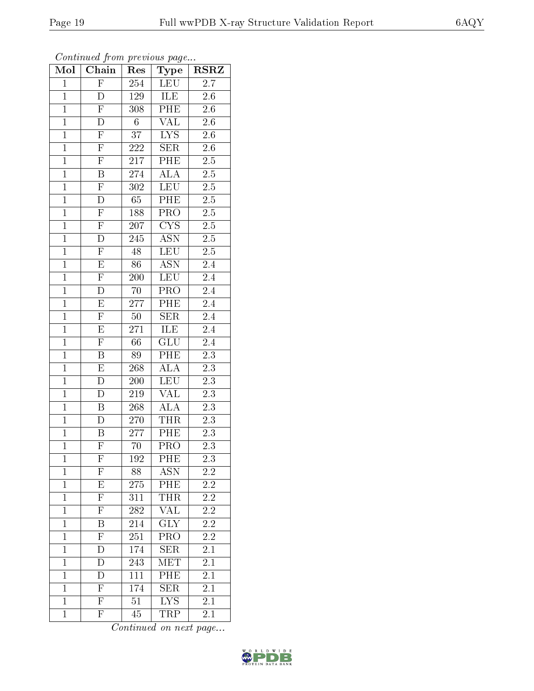| Mol            | Chain                   | Res              | Type                    | <b>RSRZ</b>      |
|----------------|-------------------------|------------------|-------------------------|------------------|
| $\overline{1}$ | $\overline{F}$          | 254              | <b>LEU</b>              | $\overline{2.7}$ |
| $\overline{1}$ | Đ                       | 129              | ILE                     | $2.\overline{6}$ |
| $\overline{1}$ | $\overline{\mathrm{F}}$ | 308              | PHE                     | $\overline{2.6}$ |
| $\mathbf{1}$   | D                       | $6\phantom{.}$   | <b>VAL</b>              | $2.6\,$          |
| $\overline{1}$ | $\overline{F}$          | $\overline{37}$  | $\overline{\text{LYS}}$ | $\overline{2.6}$ |
| $\overline{1}$ | $\overline{F}$          | 222              | <b>SER</b>              | 2.6              |
| $\overline{1}$ | $\overline{\mathrm{F}}$ | $\overline{217}$ | PHE                     | $\overline{2.5}$ |
| $\overline{1}$ | $\overline{\mathrm{B}}$ | 274              | $\overline{ALA}$        | $2.\overline{5}$ |
| $\overline{1}$ | $\overline{F}$          | $\overline{302}$ | <b>LEU</b>              | $2.\overline{5}$ |
| $\overline{1}$ | $\overline{\rm D}$      | 65               | PHE                     | $\overline{2.5}$ |
| $\overline{1}$ | $\overline{F}$          | 188              | PRO                     | $2.\overline{5}$ |
| $\overline{1}$ | $\overline{\mathrm{F}}$ | 207              | $\overline{\text{CYS}}$ | $2.\overline{5}$ |
| $\overline{1}$ | $\overline{\rm D}$      | $\overline{245}$ | $\overline{ASN}$        | $2.\overline{5}$ |
| $\mathbf{1}$   | $\overline{F}$          | $\overline{48}$  | <b>LEU</b>              | 2.5              |
| $\overline{1}$ | $\overline{\mathrm{E}}$ | $\overline{86}$  | <b>ASN</b>              | 2.4              |
| $\overline{1}$ | $\overline{F}$          | 200              | <b>LEU</b>              | 2.4              |
| $\overline{1}$ | $\overline{D}$          | $\overline{70}$  | $\overline{\text{PRO}}$ | $\overline{2.4}$ |
| $\mathbf{1}$   | E                       | 277              | PHE                     | 2.4              |
| $\mathbf{1}$   | $\overline{F}$          | $50\,$           | <b>SER</b>              | 2.4              |
| $\overline{1}$ | $\overline{\mathrm{E}}$ | 271              | ILE                     | 2.4              |
| $\overline{1}$ | $\overline{\mathrm{F}}$ | 66               | GLU                     | $\overline{2.4}$ |
| $\overline{1}$ | $\overline{\mathrm{B}}$ | $\overline{89}$  | PHE                     | $\overline{2.3}$ |
| $\mathbf{1}$   | $\overline{\mathrm{E}}$ | 268              | <b>ALA</b>              | 2.3              |
| $\overline{1}$ | D                       | $\overline{200}$ | <b>LEU</b>              | $\overline{2.3}$ |
| $\overline{1}$ | D                       | 219              | $\overline{\text{VAL}}$ | 2.3              |
| $\overline{1}$ | B                       | 268              | <b>ALA</b>              | $\overline{2.3}$ |
| $\overline{1}$ | $\overline{\rm D}$      | 270              | <b>THR</b>              | $\overline{2.3}$ |
| $\overline{1}$ | $\, {\bf B}$            | 277              | PHE                     | $\overline{2.3}$ |
| $\overline{1}$ | $\overline{\mathrm{F}}$ | 70               | PRO                     | 2.3              |
| $\mathbf{1}$   | ${\rm F}$               | 192              | PHE                     | 2.3              |
| $\mathbf{1}$   | $\mathbf{F}$            | 88               | ASN                     | $2.2\,$          |
| $\mathbf{1}$   | $\overline{\mathrm{E}}$ | $275\,$          | PHE                     | $2.2\,$          |
| $\mathbf{1}$   | $\overline{\mathrm{F}}$ | 311              | THR                     | $2.\overline{2}$ |
| $\mathbf{1}$   | $\overline{\mathrm{F}}$ | 282              | <b>VAL</b>              | 2.2              |
| $\mathbf{1}$   | Β                       | 214              | GLY                     | $2.\overline{2}$ |
| $\mathbf{1}$   | $\overline{\mathrm{F}}$ | 251              | PRO                     | $\overline{2.2}$ |
| $\mathbf{1}$   | $\overline{\rm D}$      | 174              | <b>SER</b>              | $\overline{2.1}$ |
| $\mathbf{1}$   | D                       | 243              | MET                     | 2.1              |
| $\mathbf{1}$   | D                       | 111              | PHE                     | $\overline{2.1}$ |
| $\mathbf{1}$   | $\mathbf{F}$            | 174              | <b>SER</b>              | 2.1              |
| $\overline{1}$ | $\overline{\mathrm{F}}$ | 51               | IYS                     | $\overline{2.1}$ |
| $\mathbf{1}$   | $\overline{\mathrm{F}}$ | 45               | <b>TRP</b>              | 2.1              |